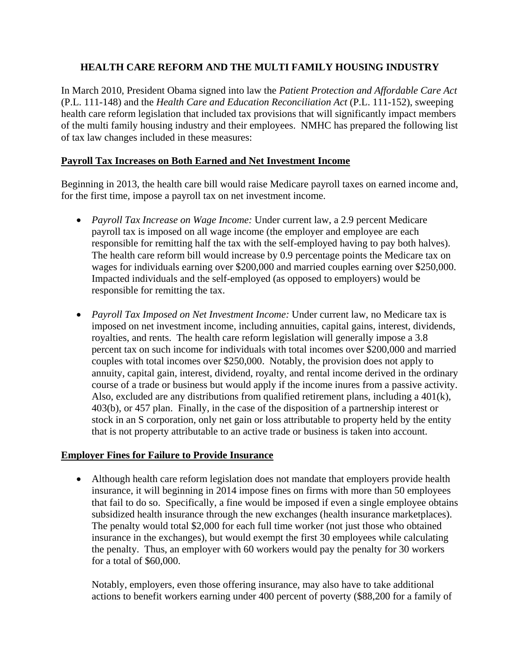# **HEALTH CARE REFORM AND THE MULTI FAMILY HOUSING INDUSTRY**

In March 2010, President Obama signed into law the *Patient Protection and Affordable Care Act* (P.L. 111-148) and the *Health Care and Education Reconciliation Act* (P.L. 111-152), sweeping health care reform legislation that included tax provisions that will significantly impact members of the multi family housing industry and their employees. NMHC has prepared the following list of tax law changes included in these measures:

## **Payroll Tax Increases on Both Earned and Net Investment Income**

Beginning in 2013, the health care bill would raise Medicare payroll taxes on earned income and, for the first time, impose a payroll tax on net investment income.

- *Payroll Tax Increase on Wage Income:* Under current law, a 2.9 percent Medicare payroll tax is imposed on all wage income (the employer and employee are each responsible for remitting half the tax with the self-employed having to pay both halves). The health care reform bill would increase by 0.9 percentage points the Medicare tax on wages for individuals earning over \$200,000 and married couples earning over \$250,000. Impacted individuals and the self-employed (as opposed to employers) would be responsible for remitting the tax.
- *Payroll Tax Imposed on Net Investment Income:* Under current law, no Medicare tax is imposed on net investment income, including annuities, capital gains, interest, dividends, royalties, and rents. The health care reform legislation will generally impose a 3.8 percent tax on such income for individuals with total incomes over \$200,000 and married couples with total incomes over \$250,000. Notably, the provision does not apply to annuity, capital gain, interest, dividend, royalty, and rental income derived in the ordinary course of a trade or business but would apply if the income inures from a passive activity. Also, excluded are any distributions from qualified retirement plans, including a 401(k), 403(b), or 457 plan. Finally, in the case of the disposition of a partnership interest or stock in an S corporation, only net gain or loss attributable to property held by the entity that is not property attributable to an active trade or business is taken into account.

### **Employer Fines for Failure to Provide Insurance**

• Although health care reform legislation does not mandate that employers provide health insurance, it will beginning in 2014 impose fines on firms with more than 50 employees that fail to do so. Specifically, a fine would be imposed if even a single employee obtains subsidized health insurance through the new exchanges (health insurance marketplaces). The penalty would total \$2,000 for each full time worker (not just those who obtained insurance in the exchanges), but would exempt the first 30 employees while calculating the penalty. Thus, an employer with 60 workers would pay the penalty for 30 workers for a total of \$60,000.

Notably, employers, even those offering insurance, may also have to take additional actions to benefit workers earning under 400 percent of poverty (\$88,200 for a family of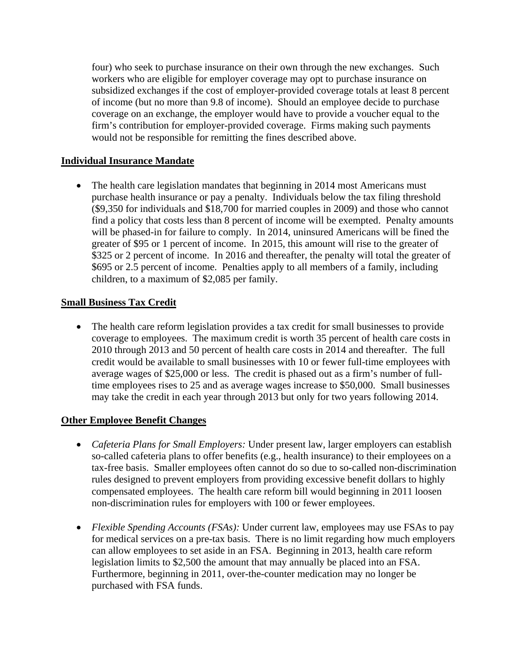four) who seek to purchase insurance on their own through the new exchanges. Such workers who are eligible for employer coverage may opt to purchase insurance on subsidized exchanges if the cost of employer-provided coverage totals at least 8 percent of income (but no more than 9.8 of income). Should an employee decide to purchase coverage on an exchange, the employer would have to provide a voucher equal to the firm's contribution for employer-provided coverage. Firms making such payments would not be responsible for remitting the fines described above.

### **Individual Insurance Mandate**

• The health care legislation mandates that beginning in 2014 most Americans must purchase health insurance or pay a penalty. Individuals below the tax filing threshold (\$9,350 for individuals and \$18,700 for married couples in 2009) and those who cannot find a policy that costs less than 8 percent of income will be exempted. Penalty amounts will be phased-in for failure to comply. In 2014, uninsured Americans will be fined the greater of \$95 or 1 percent of income. In 2015, this amount will rise to the greater of \$325 or 2 percent of income. In 2016 and thereafter, the penalty will total the greater of \$695 or 2.5 percent of income. Penalties apply to all members of a family, including children, to a maximum of \$2,085 per family.

#### **Small Business Tax Credit**

• The health care reform legislation provides a tax credit for small businesses to provide coverage to employees. The maximum credit is worth 35 percent of health care costs in 2010 through 2013 and 50 percent of health care costs in 2014 and thereafter. The full credit would be available to small businesses with 10 or fewer full-time employees with average wages of \$25,000 or less. The credit is phased out as a firm's number of fulltime employees rises to 25 and as average wages increase to \$50,000. Small businesses may take the credit in each year through 2013 but only for two years following 2014.

#### **Other Employee Benefit Changes**

- *Cafeteria Plans for Small Employers:* Under present law, larger employers can establish so-called cafeteria plans to offer benefits (e.g., health insurance) to their employees on a tax-free basis. Smaller employees often cannot do so due to so-called non-discrimination rules designed to prevent employers from providing excessive benefit dollars to highly compensated employees. The health care reform bill would beginning in 2011 loosen non-discrimination rules for employers with 100 or fewer employees.
- *Flexible Spending Accounts (FSAs):* Under current law, employees may use FSAs to pay for medical services on a pre-tax basis. There is no limit regarding how much employers can allow employees to set aside in an FSA. Beginning in 2013, health care reform legislation limits to \$2,500 the amount that may annually be placed into an FSA. Furthermore, beginning in 2011, over-the-counter medication may no longer be purchased with FSA funds.